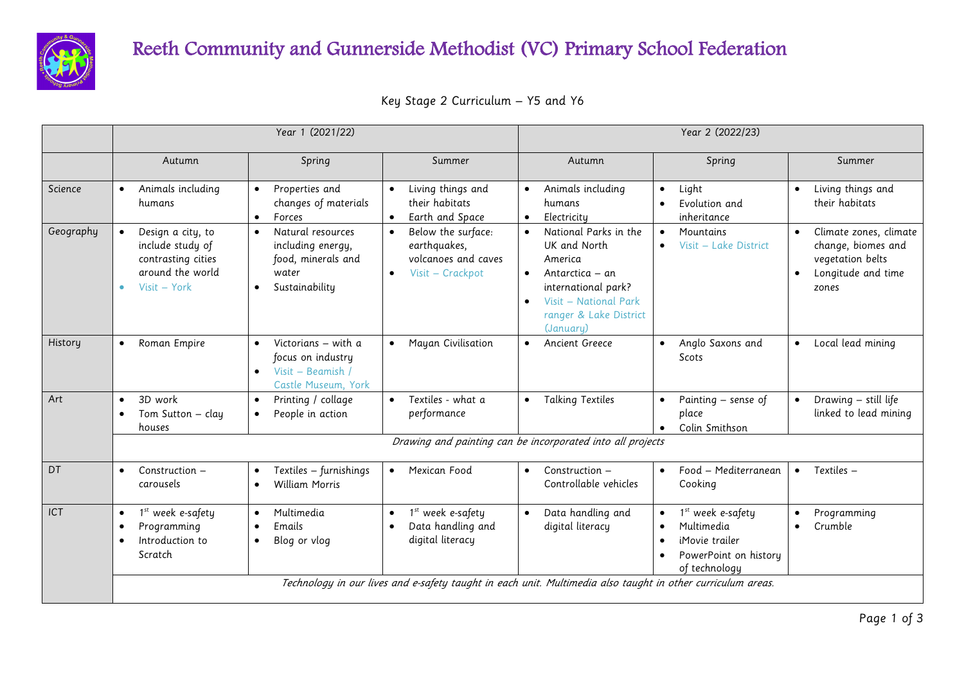

## Reeth Community and Gunnerside Methodist (VC) Primary School Federation

| Key Stage 2 Curriculum – Y5 and Y6 |  |
|------------------------------------|--|
|------------------------------------|--|

|           |                                                                                                             | Year 1 (2021/22)                                                                                                  |                                                                                     | Year 2 (2022/23)                                                                                                                                                                                  |                                                                                                                                                |                                                                                                                           |  |  |
|-----------|-------------------------------------------------------------------------------------------------------------|-------------------------------------------------------------------------------------------------------------------|-------------------------------------------------------------------------------------|---------------------------------------------------------------------------------------------------------------------------------------------------------------------------------------------------|------------------------------------------------------------------------------------------------------------------------------------------------|---------------------------------------------------------------------------------------------------------------------------|--|--|
|           | Autumn                                                                                                      | Spring                                                                                                            | Summer                                                                              | Autumn                                                                                                                                                                                            | Spring                                                                                                                                         | Summer                                                                                                                    |  |  |
| Science   | Animals including<br>$\bullet$<br>humans                                                                    | Properties and<br>$\bullet$<br>changes of materials<br>Forces<br>$\bullet$                                        | Living things and<br>their habitats<br>Earth and Space                              | Animals including<br>$\bullet$<br>humans<br>Electricity<br>$\bullet$                                                                                                                              | Light<br>$\bullet$<br>Evolution and<br>inheritance                                                                                             | Living things and<br>their habitats                                                                                       |  |  |
| Geography | Design a city, to<br>include study of<br>contrasting cities<br>around the world<br>Visit - York<br>۰        | Natural resources<br>$\bullet$<br>including energy,<br>food, minerals and<br>water<br>Sustainability<br>$\bullet$ | Below the surface:<br>earthquakes,<br>volcanoes and caves<br>Visit - Crackpot       | National Parks in the<br>$\bullet$<br>UK and North<br>America<br>Antarctica – an<br>$\bullet$<br>international park?<br>Visit - National Park<br>$\bullet$<br>ranger & Lake District<br>(January) | Mountains<br>$\bullet$<br>Visit - Lake District<br>$\bullet$                                                                                   | Climate zones, climate<br>$\bullet$<br>change, biomes and<br>vegetation belts<br>Longitude and time<br>$\bullet$<br>zones |  |  |
| History   | Roman Empire<br>$\bullet$                                                                                   | Victorians - with a<br>$\bullet$<br>focus on industry<br>Visit – Beamish<br>$\bullet$<br>Castle Museum, York      | Mayan Civilisation                                                                  | Ancient Greece<br>$\bullet$                                                                                                                                                                       | Anglo Saxons and<br>$\bullet$<br>Scots                                                                                                         | Local lead mining<br>$\bullet$                                                                                            |  |  |
| Art       | 3D work<br>$\bullet$<br>Tom Sutton – clay<br>houses                                                         | Printing / collage<br>$\bullet$<br>People in action                                                               | Textiles - what a<br>$\bullet$<br>performance                                       | <b>Talking Textiles</b><br>$\bullet$                                                                                                                                                              | Painting - sense of<br>$\bullet$<br>place<br>Colin Smithson                                                                                    | Drawing - still life<br>$\bullet$<br>linked to lead mining                                                                |  |  |
|           | Drawing and painting can be incorporated into all projects                                                  |                                                                                                                   |                                                                                     |                                                                                                                                                                                                   |                                                                                                                                                |                                                                                                                           |  |  |
| DT        | Construction -<br>$\bullet$<br>carousels                                                                    | Textiles - furnishings<br>$\bullet$<br><b>William Morris</b><br>$\bullet$                                         | Mexican Food                                                                        | Construction -<br>$\bullet$<br>Controllable vehicles                                                                                                                                              | Food - Mediterranean<br>$\bullet$<br>Cooking                                                                                                   | Textiles -<br>$\bullet$                                                                                                   |  |  |
| ICT       | 1st week e-safety<br>$\bullet$<br>Programming<br>Introduction to<br>$\bullet$<br>Scratch                    | Multimedia<br>$\bullet$<br>Emails<br>$\bullet$<br>Blog or vlog<br>$\bullet$                                       | 1 <sup>st</sup> week e-safety<br>Data handling and<br>$\bullet$<br>digital literacy | Data handling and<br>$\bullet$<br>digital literacy                                                                                                                                                | 1 <sup>st</sup> week e-safety<br>$\bullet$<br>Multimedia<br>$\bullet$<br>iMovie trailer<br>$\bullet$<br>PowerPoint on history<br>of technology | Programming<br>Crumble<br>$\bullet$                                                                                       |  |  |
|           | Technology in our lives and e-safety taught in each unit. Multimedia also taught in other curriculum areas. |                                                                                                                   |                                                                                     |                                                                                                                                                                                                   |                                                                                                                                                |                                                                                                                           |  |  |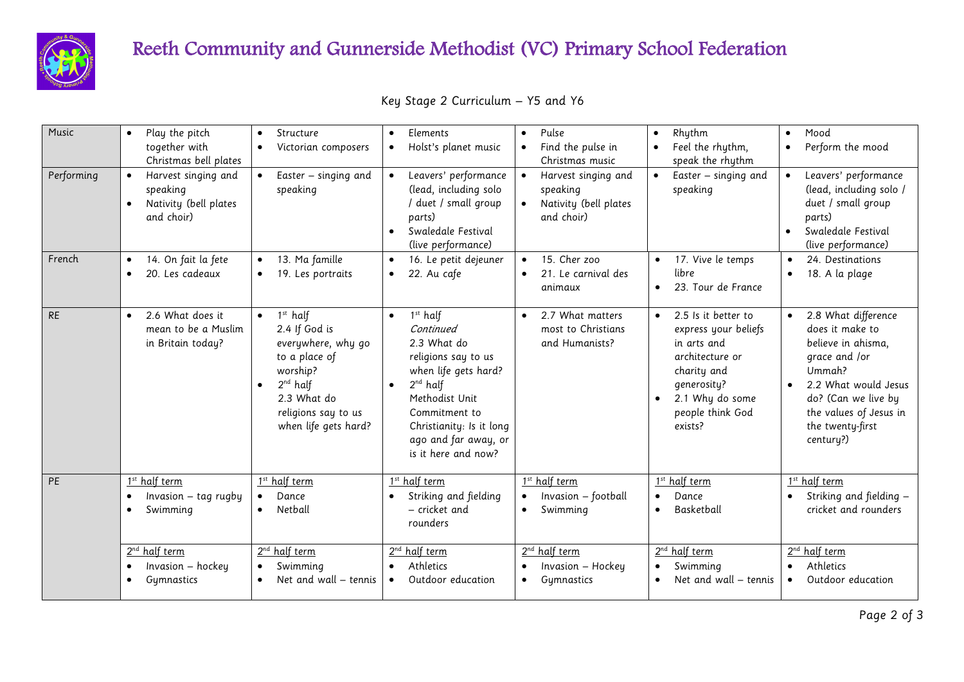

## Reeth Community and Gunnerside Methodist (VC) Primary School Federation

|  |  | Key Stage 2 Curriculum - Y5 and Y6 |  |  |  |
|--|--|------------------------------------|--|--|--|
|--|--|------------------------------------|--|--|--|

| Music      | Play the pitch<br>$\bullet$<br>together with<br>Christmas bell plates                     | Structure<br>$\bullet$<br>Victorian composers<br>$\bullet$                                                                                                                 | Elements<br>$\bullet$<br>Holst's planet music<br>$\bullet$                                                                                                                                                                                     | Pulse<br>$\bullet$<br>Find the pulse in<br>$\bullet$<br>Christmas music   | Rhythm<br>$\bullet$<br>Feel the rhythm,<br>$\bullet$<br>speak the rhythm                                                                                                                | Mood<br>$\bullet$<br>Perform the mood<br>$\bullet$                                                                                                                                                |
|------------|-------------------------------------------------------------------------------------------|----------------------------------------------------------------------------------------------------------------------------------------------------------------------------|------------------------------------------------------------------------------------------------------------------------------------------------------------------------------------------------------------------------------------------------|---------------------------------------------------------------------------|-----------------------------------------------------------------------------------------------------------------------------------------------------------------------------------------|---------------------------------------------------------------------------------------------------------------------------------------------------------------------------------------------------|
| Performing | Harvest singing and<br>speaking<br>Nativity (bell plates<br>$\bullet$<br>and choir)       | Easter - singing and<br>speaking                                                                                                                                           | Leavers' performance<br>(lead, including solo<br>duet / small group<br>parts)<br>Swaledale Festival<br>$\bullet$<br>(live performance)                                                                                                         | Harvest singing and<br>speaking<br>Nativity (bell plates<br>and choir)    | Easter - singing and<br>speaking                                                                                                                                                        | Leavers' performance<br>$\bullet$<br>(lead, including solo /<br>duet / small group<br>parts)<br>Swaledale Festival<br>$\bullet$<br>(live performance)                                             |
| French     | 14. On fait la fete<br>$\bullet$<br>20. Les cadeaux<br>$\bullet$                          | 13. Ma famille<br>$\bullet$<br>19. Les portraits<br>$\bullet$                                                                                                              | 16. Le petit dejeuner<br>22. Au cafe<br>$\bullet$                                                                                                                                                                                              | 15. Cher zoo<br>$\bullet$<br>21. Le carnival des<br>$\bullet$<br>animaux  | 17. Vive le temps<br>$\bullet$<br>libre<br>23. Tour de France<br>$\bullet$                                                                                                              | 24. Destinations<br>18. A la plage<br>$\bullet$                                                                                                                                                   |
| <b>RE</b>  | 2.6 What does it<br>$\bullet$<br>mean to be a Muslim<br>in Britain today?                 | $1st$ half<br>2.4 If God is<br>everywhere, why go<br>to a place of<br>worship?<br>$2^{nd}$ half<br>$\bullet$<br>2.3 What do<br>religions say to us<br>when life gets hard? | $1st$ half<br>$\bullet$<br>Continued<br>2.3 What do<br>religions say to us<br>when life gets hard?<br>$2^{nd}$ half<br>$\bullet$<br>Methodist Unit<br>Commitment to<br>Christianity: Is it long<br>ago and far away, or<br>is it here and now? | 2.7 What matters<br>most to Christians<br>and Humanists?                  | 2.5 Is it better to<br>$\bullet$<br>express your beliefs<br>in arts and<br>architecture or<br>charity and<br>generosity?<br>2.1 Why do some<br>$\bullet$<br>people think God<br>exists? | 2.8 What difference<br>does it make to<br>believe in ahisma,<br>grace and /or<br>Ummah?<br>2.2 What would Jesus<br>do? (Can we live by<br>the values of Jesus in<br>the twenty-first<br>century?) |
| <b>PE</b>  | 1 <sup>st</sup> half term<br>Invasion $-$ tag rugby<br>$\bullet$<br>Swimming<br>$\bullet$ | 1 <sup>st</sup> half term<br>Dance<br>Netball<br>$\bullet$                                                                                                                 | 1 <sup>st</sup> half term<br>Striking and fielding<br>- cricket and<br>rounders                                                                                                                                                                | 1 <sup>st</sup> half term<br>Invasion - football<br>Swimming<br>$\bullet$ | 1 <sup>st</sup> half term<br>Dance<br>$\bullet$<br>Basketball<br>$\bullet$                                                                                                              | 1 <sup>st</sup> half term<br>Striking and fielding -<br>cricket and rounders                                                                                                                      |
|            | 2 <sup>nd</sup> half term<br>Invasion - hockey<br>$\bullet$<br>Gymnastics<br>$\bullet$    | 2 <sup>nd</sup> half term<br>Swimming<br>$\bullet$<br>Net and wall - tennis<br>$\bullet$                                                                                   | 2 <sup>nd</sup> half term<br>Athletics<br>$\bullet$<br>Outdoor education<br>$\bullet$                                                                                                                                                          | 2 <sup>nd</sup> half term<br>Invasion - Hockey<br>Gymnastics<br>$\bullet$ | 2 <sup>nd</sup> half term<br>Swimming<br>$\bullet$<br>Net and wall – tennis<br>$\bullet$                                                                                                | 2 <sup>nd</sup> half term<br>Athletics<br>$\bullet$<br>Outdoor education                                                                                                                          |